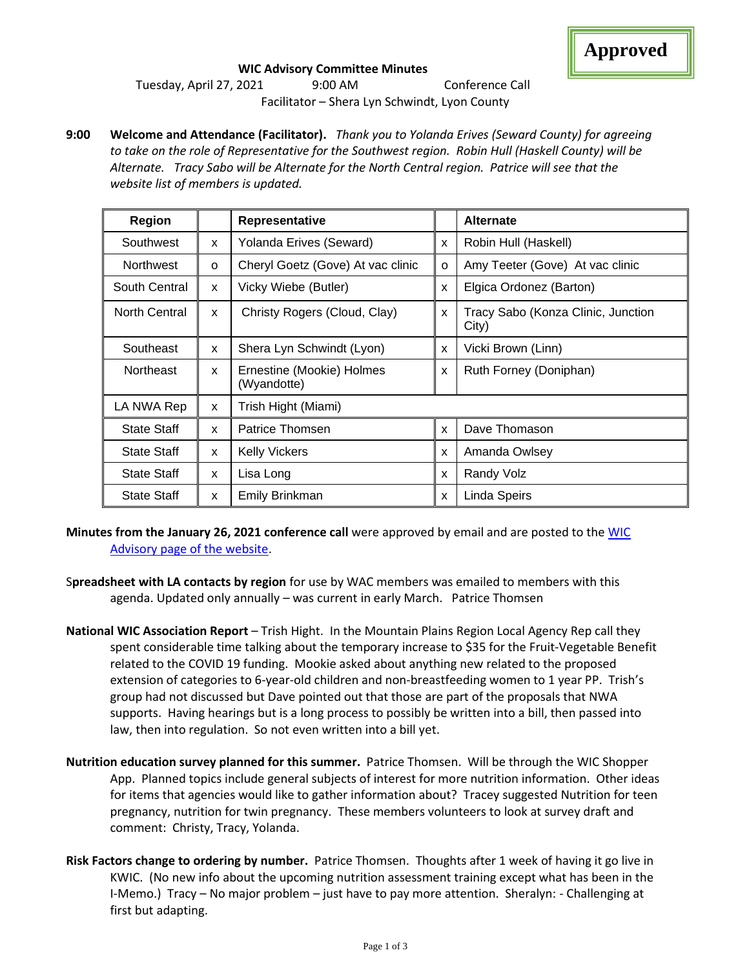#### **WIC Advisory Committee Minutes**

Tuesday, April 27, 2021 9:00 AM Conference Call Facilitator – Shera Lyn Schwindt, Lyon County

**9:00 Welcome and Attendance (Facilitator).** *Thank you to Yolanda Erives (Seward County) for agreeing to take on the role of Representative for the Southwest region. Robin Hull (Haskell County) will be Alternate. Tracy Sabo will be Alternate for the North Central region. Patrice will see that the website list of members is updated.*

| <b>Region</b>        |   | Representative                           |          | <b>Alternate</b>                            |
|----------------------|---|------------------------------------------|----------|---------------------------------------------|
| Southwest            | X | Yolanda Erives (Seward)                  | X        | Robin Hull (Haskell)                        |
| <b>Northwest</b>     | O | Cheryl Goetz (Gove) At vac clinic        | $\Omega$ | Amy Teeter (Gove) At vac clinic             |
| South Central        | X | Vicky Wiebe (Butler)                     | X        | Elgica Ordonez (Barton)                     |
| <b>North Central</b> | X | Christy Rogers (Cloud, Clay)             | X        | Tracy Sabo (Konza Clinic, Junction<br>City) |
| Southeast            | X | Shera Lyn Schwindt (Lyon)                | X        | Vicki Brown (Linn)                          |
| <b>Northeast</b>     | X | Ernestine (Mookie) Holmes<br>(Wyandotte) | X        | Ruth Forney (Doniphan)                      |
| LA NWA Rep           | X | Trish Hight (Miami)                      |          |                                             |
| <b>State Staff</b>   | X | Patrice Thomsen                          | X        | Dave Thomason                               |
| <b>State Staff</b>   | X | <b>Kelly Vickers</b>                     | X        | Amanda Owlsey                               |
| <b>State Staff</b>   | X | Lisa Long                                | X        | Randy Volz                                  |
| <b>State Staff</b>   | X | Emily Brinkman                           | X        | Linda Speirs                                |

- **Minutes from the January 26, 2021 conference call** were approved by email and are posted to the [WIC](http://www.kansaswic.org/local_agencies/WIC_advisory_comm.html)  [Advisory page of the website.](http://www.kansaswic.org/local_agencies/WIC_advisory_comm.html)
- S**preadsheet with LA contacts by region** for use by WAC members was emailed to members with this agenda. Updated only annually – was current in early March. Patrice Thomsen
- **National WIC Association Report** Trish Hight. In the Mountain Plains Region Local Agency Rep call they spent considerable time talking about the temporary increase to \$35 for the Fruit-Vegetable Benefit related to the COVID 19 funding. Mookie asked about anything new related to the proposed extension of categories to 6-year-old children and non-breastfeeding women to 1 year PP. Trish's group had not discussed but Dave pointed out that those are part of the proposals that NWA supports. Having hearings but is a long process to possibly be written into a bill, then passed into law, then into regulation. So not even written into a bill yet.
- **Nutrition education survey planned for this summer.** Patrice Thomsen. Will be through the WIC Shopper App. Planned topics include general subjects of interest for more nutrition information. Other ideas for items that agencies would like to gather information about? Tracey suggested Nutrition for teen pregnancy, nutrition for twin pregnancy. These members volunteers to look at survey draft and comment: Christy, Tracy, Yolanda.
- **Risk Factors change to ordering by number.** Patrice Thomsen. Thoughts after 1 week of having it go live in KWIC. (No new info about the upcoming nutrition assessment training except what has been in the I-Memo.) Tracy – No major problem – just have to pay more attention. Sheralyn: - Challenging at first but adapting.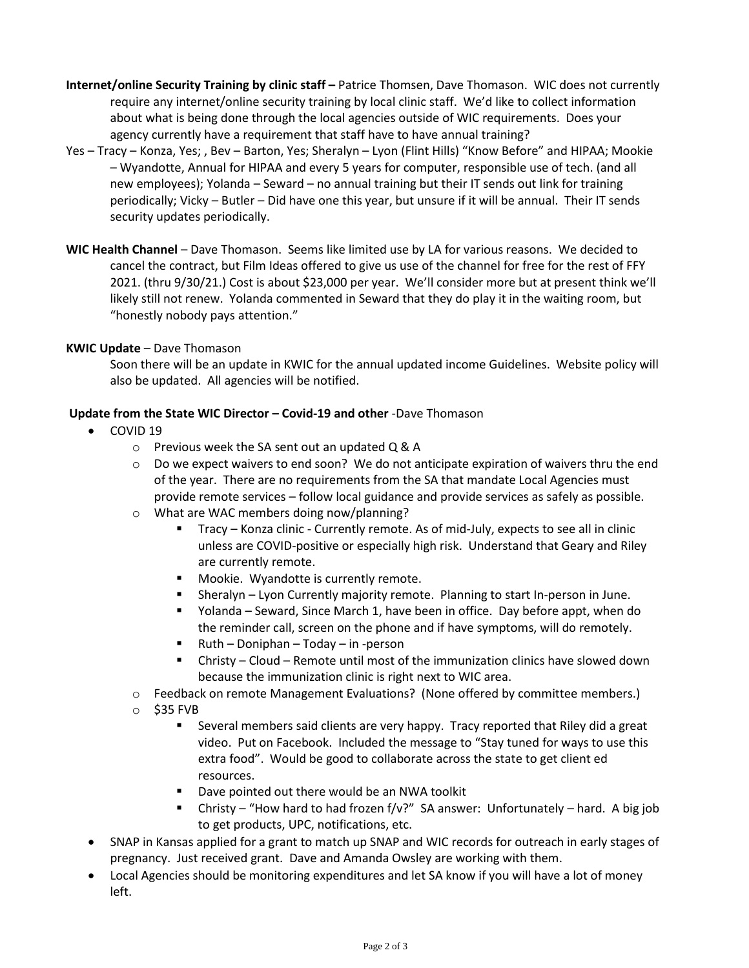- **Internet/online Security Training by clinic staff –** Patrice Thomsen, Dave Thomason. WIC does not currently require any internet/online security training by local clinic staff. We'd like to collect information about what is being done through the local agencies outside of WIC requirements. Does your agency currently have a requirement that staff have to have annual training?
- Yes Tracy Konza, Yes; , Bev Barton, Yes; Sheralyn Lyon (Flint Hills) "Know Before" and HIPAA; Mookie – Wyandotte, Annual for HIPAA and every 5 years for computer, responsible use of tech. (and all new employees); Yolanda – Seward – no annual training but their IT sends out link for training periodically; Vicky – Butler – Did have one this year, but unsure if it will be annual. Their IT sends security updates periodically.
- **WIC Health Channel** Dave Thomason. Seems like limited use by LA for various reasons. We decided to cancel the contract, but Film Ideas offered to give us use of the channel for free for the rest of FFY 2021. (thru 9/30/21.) Cost is about \$23,000 per year. We'll consider more but at present think we'll likely still not renew. Yolanda commented in Seward that they do play it in the waiting room, but "honestly nobody pays attention."

# **KWIC Update** – Dave Thomason

Soon there will be an update in KWIC for the annual updated income Guidelines. Website policy will also be updated. All agencies will be notified.

# **Update from the State WIC Director – Covid-19 and other** -Dave Thomason

- COVID 19
	- o Previous week the SA sent out an updated Q & A
	- $\circ$  Do we expect waivers to end soon? We do not anticipate expiration of waivers thru the end of the year. There are no requirements from the SA that mandate Local Agencies must provide remote services – follow local guidance and provide services as safely as possible.
	- o What are WAC members doing now/planning?
		- Tracy Konza clinic Currently remote. As of mid-July, expects to see all in clinic unless are COVID-positive or especially high risk. Understand that Geary and Riley are currently remote.
		- Mookie. Wyandotte is currently remote.
		- **EXECT** Sheralyn Lyon Currently majority remote. Planning to start In-person in June.
		- Yolanda Seward, Since March 1, have been in office. Day before appt, when do the reminder call, screen on the phone and if have symptoms, will do remotely.
		- Ruth Doniphan Today in -person
		- Christy Cloud Remote until most of the immunization clinics have slowed down because the immunization clinic is right next to WIC area.
	- $\circ$  Feedback on remote Management Evaluations? (None offered by committee members.)
	- o \$35 FVB
		- Several members said clients are very happy. Tracy reported that Riley did a great video. Put on Facebook. Included the message to "Stay tuned for ways to use this extra food". Would be good to collaborate across the state to get client ed resources.
		- Dave pointed out there would be an NWA toolkit
		- Christy "How hard to had frozen  $f/v$ ?" SA answer: Unfortunately hard. A big job to get products, UPC, notifications, etc.
- SNAP in Kansas applied for a grant to match up SNAP and WIC records for outreach in early stages of pregnancy. Just received grant. Dave and Amanda Owsley are working with them.
- Local Agencies should be monitoring expenditures and let SA know if you will have a lot of money left.